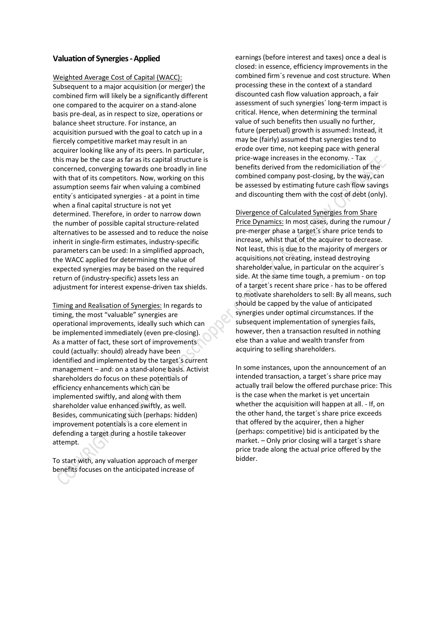## **Valuation of Synergies -Applied**

Weighted Average Cost of Capital (WACC): Subsequent to a major acquisition (or merger) the combined firm will likely be a significantly different one compared to the acquirer on a stand-alone basis pre-deal, as in respect to size, operations or balance sheet structure. For instance, an acquisition pursued with the goal to catch up in a fiercely competitive market may result in an acquirer looking like any of its peers. In particular, this may be the case as far as its capital structure is concerned, converging towards one broadly in line with that of its competitors. Now, working on this assumption seems fair when valuing a combined entity´s anticipated synergies - at a point in time when a final capital structure is not yet determined. Therefore, in order to narrow down the number of possible capital structure-related alternatives to be assessed and to reduce the noise inherit in single-firm estimates, industry-specific parameters can be used: In a simplified approach, the WACC applied for determining the value of expected synergies may be based on the required return of (industry-specific) assets less an adjustment for interest expense-driven tax shields.

Timing and Realisation of Synergies: In regards to timing, the most "valuable" synergies are operational improvements, ideally such which can be implemented immediately (even pre-closing). As a matter of fact, these sort of improvements could (actually: should) already have been identified and implemented by the target´s current management – and: on a stand-alone basis. Activist shareholders do focus on these potentials of efficiency enhancements which can be implemented swiftly, and along with them shareholder value enhanced swiftly, as well. Besides, communicating such (perhaps: hidden) improvement potentials is a core element in defending a target during a hostile takeover attempt.

To start with, any valuation approach of merger benefits focuses on the anticipated increase of

earnings (before interest and taxes) once a deal is closed: in essence, efficiency improvements in the combined firm´s revenue and cost structure. When processing these in the context of a standard discounted cash flow valuation approach, a fair assessment of such synergies´ long-term impact is critical. Hence, when determining the terminal value of such benefits then usually no further, future (perpetual) growth is assumed: Instead, it may be (fairly) assumed that synergies tend to erode over time, not keeping pace with general price-wage increases in the economy. - Tax benefits derived from the redomiciliation of the combined company post-closing, by the way, can be assessed by estimating future cash flow savings and discounting them with the cost of debt (only).

Divergence of Calculated Synergies from Share Price Dynamics: In most cases, during the rumour / pre-merger phase a target´s share price tends to increase, whilst that of the acquirer to decrease. Not least, this is due to the majority of mergers or acquisitions not creating, instead destroying shareholder value, in particular on the acquirer´s side. At the same time tough, a premium - on top of a target´s recent share price - has to be offered to motivate shareholders to sell: By all means, such should be capped by the value of anticipated synergies under optimal circumstances. If the subsequent implementation of synergies fails, however, then a transaction resulted in nothing else than a value and wealth transfer from acquiring to selling shareholders.

In some instances, upon the announcement of an intended transaction, a target´s share price may actually trail below the offered purchase price: This is the case when the market is yet uncertain whether the acquisition will happen at all. - If, on the other hand, the target´s share price exceeds that offered by the acquirer, then a higher (perhaps: competitive) bid is anticipated by the market. – Only prior closing will a target´s share price trade along the actual price offered by the bidder.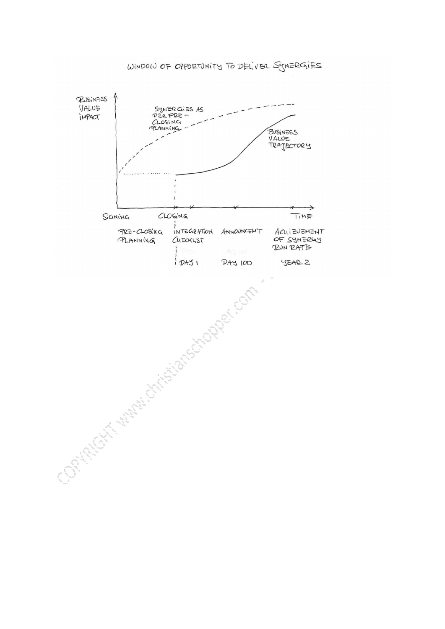